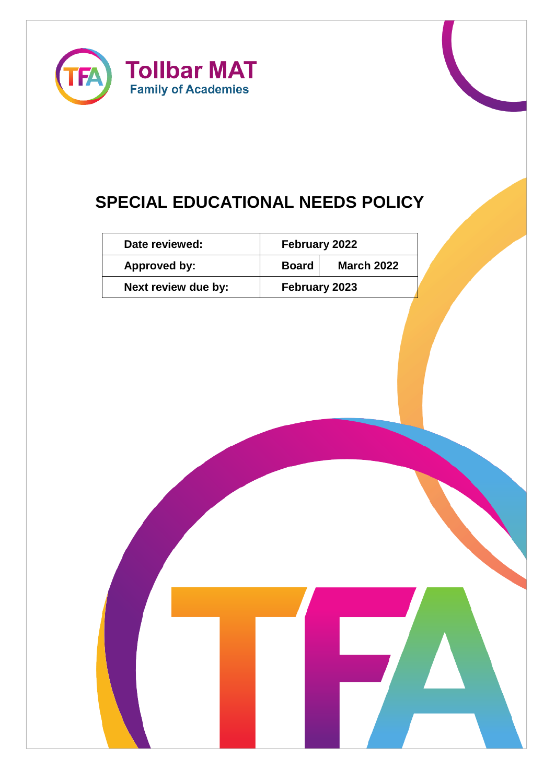

# **SPECIAL EDUCATIONAL NEEDS POLICY**

| Date reviewed:      | <b>February 2022</b> |                   |
|---------------------|----------------------|-------------------|
| Approved by:        | <b>Board</b>         | <b>March 2022</b> |
| Next review due by: | February 2023        |                   |

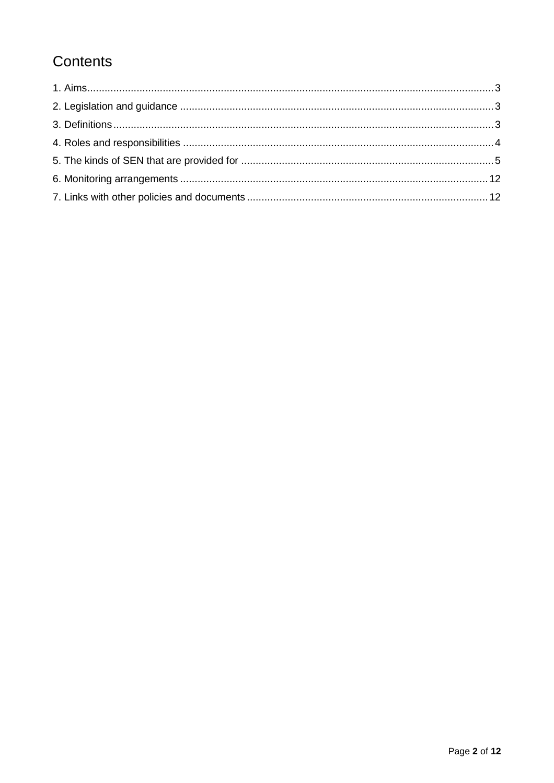## Contents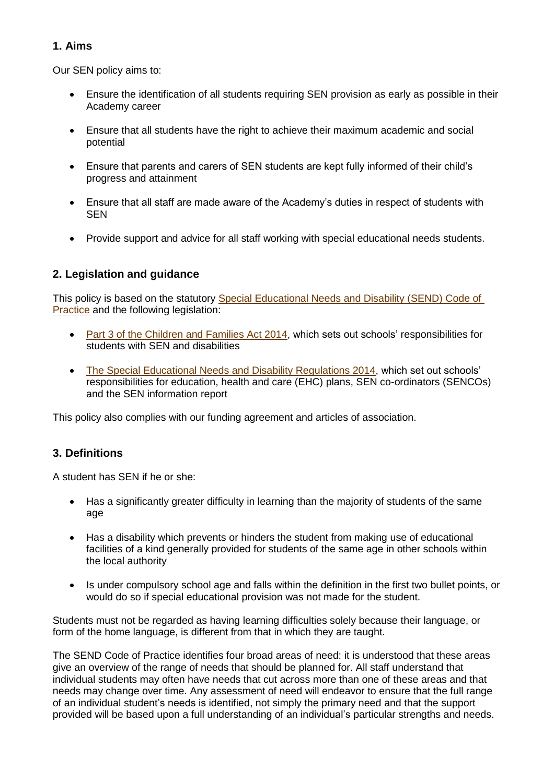## <span id="page-2-0"></span>**1. Aims**

Our SEN policy aims to:

- Ensure the identification of all students requiring SEN provision as early as possible in their Academy career
- Ensure that all students have the right to achieve their maximum academic and social potential
- Ensure that parents and carers of SEN students are kept fully informed of their child's progress and attainment
- Ensure that all staff are made aware of the Academy's duties in respect of students with SEN
- Provide support and advice for all staff working with special educational needs students.

## <span id="page-2-1"></span>**2. Legislation and guidance**

This policy is based on the statutory Special Educational Needs and Disability (SEND) Code of [Practice](https://www.gov.uk/government/uploads/system/uploads/attachment_data/file/398815/SEND_Code_of_Practice_January_2015.pdf) and the following legislation:

- [Part 3 of the Children and Families Act 2014,](http://www.legislation.gov.uk/ukpga/2014/6/part/3) which sets out schools' responsibilities for students with SEN and disabilities
- [The Special Educational Needs and Disability Regulations 2014,](http://www.legislation.gov.uk/uksi/2014/1530/contents/made) which set out schools' responsibilities for education, health and care (EHC) plans, SEN co-ordinators (SENCOs) and the SEN information report

This policy also complies with our funding agreement and articles of association.

## <span id="page-2-2"></span>**3. Definitions**

A student has SEN if he or she:

- Has a significantly greater difficulty in learning than the majority of students of the same age
- Has a disability which prevents or hinders the student from making use of educational facilities of a kind generally provided for students of the same age in other schools within the local authority
- Is under compulsory school age and falls within the definition in the first two bullet points, or would do so if special educational provision was not made for the student.

Students must not be regarded as having learning difficulties solely because their language, or form of the home language, is different from that in which they are taught.

The SEND Code of Practice identifies four broad areas of need: it is understood that these areas give an overview of the range of needs that should be planned for. All staff understand that individual students may often have needs that cut across more than one of these areas and that needs may change over time. Any assessment of need will endeavor to ensure that the full range of an individual student's needs is identified, not simply the primary need and that the support provided will be based upon a full understanding of an individual's particular strengths and needs.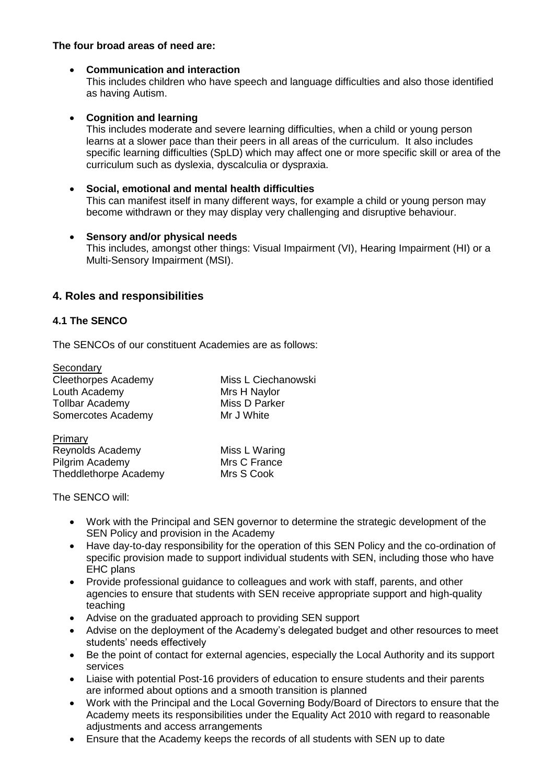## **The four broad areas of need are:**

#### • **Communication and interaction**

This includes children who have speech and language difficulties and also those identified as having Autism.

#### • **Cognition and learning**

This includes moderate and severe learning difficulties, when a child or young person learns at a slower pace than their peers in all areas of the curriculum. It also includes specific learning difficulties (SpLD) which may affect one or more specific skill or area of the curriculum such as dyslexia, dyscalculia or dyspraxia.

- **Social, emotional and mental health difficulties** This can manifest itself in many different ways, for example a child or young person may become withdrawn or they may display very challenging and disruptive behaviour.
- **Sensory and/or physical needs** This includes, amongst other things: Visual Impairment (VI), Hearing Impairment (HI) or a Multi-Sensory Impairment (MSI).

## <span id="page-3-0"></span>**4. Roles and responsibilities**

## **4.1 The SENCO**

The SENCOs of our constituent Academies are as follows:

| Secondary                    |                     |  |
|------------------------------|---------------------|--|
| <b>Cleethorpes Academy</b>   | Miss L Ciechanowski |  |
| Louth Academy                | Mrs H Naylor        |  |
| <b>Tollbar Academy</b>       | Miss D Parker       |  |
| Somercotes Academy           | Mr J White          |  |
| Primary                      |                     |  |
| Reynolds Academy             | Miss L Waring       |  |
| Pilgrim Academy              | Mrs C France        |  |
| <b>Theddlethorpe Academy</b> | Mrs S Cook          |  |

The SENCO will:

- Work with the Principal and SEN governor to determine the strategic development of the SEN Policy and provision in the Academy
- Have day-to-day responsibility for the operation of this SEN Policy and the co-ordination of specific provision made to support individual students with SEN, including those who have EHC plans
- Provide professional guidance to colleagues and work with staff, parents, and other agencies to ensure that students with SEN receive appropriate support and high-quality teaching
- Advise on the graduated approach to providing SEN support
- Advise on the deployment of the Academy's delegated budget and other resources to meet students' needs effectively
- Be the point of contact for external agencies, especially the Local Authority and its support services
- Liaise with potential Post-16 providers of education to ensure students and their parents are informed about options and a smooth transition is planned
- Work with the Principal and the Local Governing Body/Board of Directors to ensure that the Academy meets its responsibilities under the Equality Act 2010 with regard to reasonable adjustments and access arrangements
- Ensure that the Academy keeps the records of all students with SEN up to date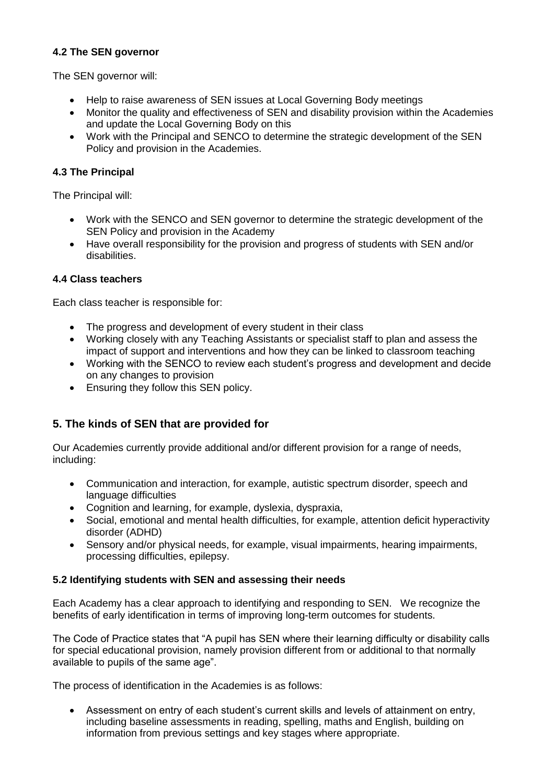## **4.2 The SEN governor**

The SEN governor will:

- Help to raise awareness of SEN issues at Local Governing Body meetings
- Monitor the quality and effectiveness of SEN and disability provision within the Academies and update the Local Governing Body on this
- Work with the Principal and SENCO to determine the strategic development of the SEN Policy and provision in the Academies.

## **4.3 The Principal**

The Principal will:

- Work with the SENCO and SEN governor to determine the strategic development of the SEN Policy and provision in the Academy
- Have overall responsibility for the provision and progress of students with SEN and/or disabilities.

## **4.4 Class teachers**

Each class teacher is responsible for:

- The progress and development of every student in their class
- Working closely with any Teaching Assistants or specialist staff to plan and assess the impact of support and interventions and how they can be linked to classroom teaching
- Working with the SENCO to review each student's progress and development and decide on any changes to provision
- Ensuring they follow this SEN policy.

## <span id="page-4-0"></span>**5. The kinds of SEN that are provided for**

Our Academies currently provide additional and/or different provision for a range of needs, including:

- Communication and interaction, for example, autistic spectrum disorder, speech and language difficulties
- Cognition and learning, for example, dyslexia, dyspraxia,
- Social, emotional and mental health difficulties, for example, attention deficit hyperactivity disorder (ADHD)
- Sensory and/or physical needs, for example, visual impairments, hearing impairments, processing difficulties, epilepsy.

## **5.2 Identifying students with SEN and assessing their needs**

Each Academy has a clear approach to identifying and responding to SEN. We recognize the benefits of early identification in terms of improving long-term outcomes for students.

The Code of Practice states that "A pupil has SEN where their learning difficulty or disability calls for special educational provision, namely provision different from or additional to that normally available to pupils of the same age".

The process of identification in the Academies is as follows:

• Assessment on entry of each student's current skills and levels of attainment on entry, including baseline assessments in reading, spelling, maths and English, building on information from previous settings and key stages where appropriate.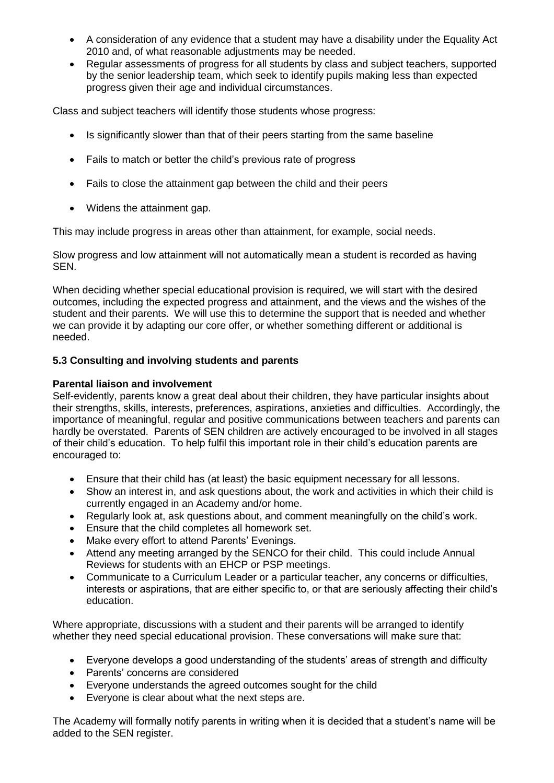- A consideration of any evidence that a student may have a disability under the Equality Act 2010 and, of what reasonable adjustments may be needed.
- Regular assessments of progress for all students by class and subject teachers, supported by the senior leadership team, which seek to identify pupils making less than expected progress given their age and individual circumstances.

Class and subject teachers will identify those students whose progress:

- Is significantly slower than that of their peers starting from the same baseline
- Fails to match or better the child's previous rate of progress
- Fails to close the attainment gap between the child and their peers
- Widens the attainment gap.

This may include progress in areas other than attainment, for example, social needs.

Slow progress and low attainment will not automatically mean a student is recorded as having SEN.

When deciding whether special educational provision is required, we will start with the desired outcomes, including the expected progress and attainment, and the views and the wishes of the student and their parents. We will use this to determine the support that is needed and whether we can provide it by adapting our core offer, or whether something different or additional is needed.

## **5.3 Consulting and involving students and parents**

#### **Parental liaison and involvement**

Self-evidently, parents know a great deal about their children, they have particular insights about their strengths, skills, interests, preferences, aspirations, anxieties and difficulties. Accordingly, the importance of meaningful, regular and positive communications between teachers and parents can hardly be overstated. Parents of SEN children are actively encouraged to be involved in all stages of their child's education. To help fulfil this important role in their child's education parents are encouraged to:

- Ensure that their child has (at least) the basic equipment necessary for all lessons.
- Show an interest in, and ask questions about, the work and activities in which their child is currently engaged in an Academy and/or home.
- Regularly look at, ask questions about, and comment meaningfully on the child's work.
- Ensure that the child completes all homework set.
- Make every effort to attend Parents' Evenings.
- Attend any meeting arranged by the SENCO for their child. This could include Annual Reviews for students with an EHCP or PSP meetings.
- Communicate to a Curriculum Leader or a particular teacher, any concerns or difficulties, interests or aspirations, that are either specific to, or that are seriously affecting their child's education.

Where appropriate, discussions with a student and their parents will be arranged to identify whether they need special educational provision. These conversations will make sure that:

- Everyone develops a good understanding of the students' areas of strength and difficulty
- Parents' concerns are considered
- Everyone understands the agreed outcomes sought for the child
- Everyone is clear about what the next steps are.

The Academy will formally notify parents in writing when it is decided that a student's name will be added to the SEN register.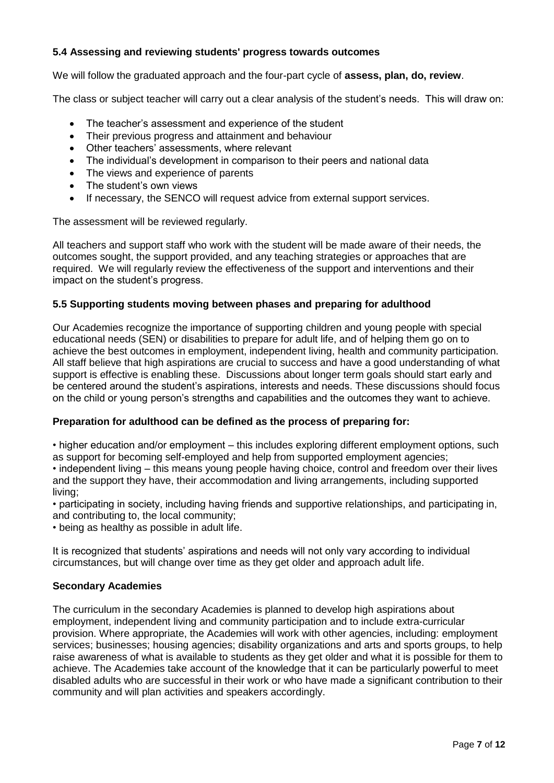## **5.4 Assessing and reviewing students' progress towards outcomes**

We will follow the graduated approach and the four-part cycle of **assess, plan, do, review**.

The class or subject teacher will carry out a clear analysis of the student's needs. This will draw on:

- The teacher's assessment and experience of the student
- Their previous progress and attainment and behaviour
- Other teachers' assessments, where relevant
- The individual's development in comparison to their peers and national data
- The views and experience of parents
- The student's own views
- If necessary, the SENCO will request advice from external support services.

The assessment will be reviewed regularly.

All teachers and support staff who work with the student will be made aware of their needs, the outcomes sought, the support provided, and any teaching strategies or approaches that are required. We will regularly review the effectiveness of the support and interventions and their impact on the student's progress.

#### **5.5 Supporting students moving between phases and preparing for adulthood**

Our Academies recognize the importance of supporting children and young people with special educational needs (SEN) or disabilities to prepare for adult life, and of helping them go on to achieve the best outcomes in employment, independent living, health and community participation. All staff believe that high aspirations are crucial to success and have a good understanding of what support is effective is enabling these. Discussions about longer term goals should start early and be centered around the student's aspirations, interests and needs. These discussions should focus on the child or young person's strengths and capabilities and the outcomes they want to achieve.

#### **Preparation for adulthood can be defined as the process of preparing for:**

• higher education and/or employment – this includes exploring different employment options, such as support for becoming self-employed and help from supported employment agencies; • independent living – this means young people having choice, control and freedom over their lives and the support they have, their accommodation and living arrangements, including supported living;

• participating in society, including having friends and supportive relationships, and participating in, and contributing to, the local community;

• being as healthy as possible in adult life.

It is recognized that students' aspirations and needs will not only vary according to individual circumstances, but will change over time as they get older and approach adult life.

## **Secondary Academies**

The curriculum in the secondary Academies is planned to develop high aspirations about employment, independent living and community participation and to include extra-curricular provision. Where appropriate, the Academies will work with other agencies, including: employment services; businesses; housing agencies; disability organizations and arts and sports groups, to help raise awareness of what is available to students as they get older and what it is possible for them to achieve. The Academies take account of the knowledge that it can be particularly powerful to meet disabled adults who are successful in their work or who have made a significant contribution to their community and will plan activities and speakers accordingly.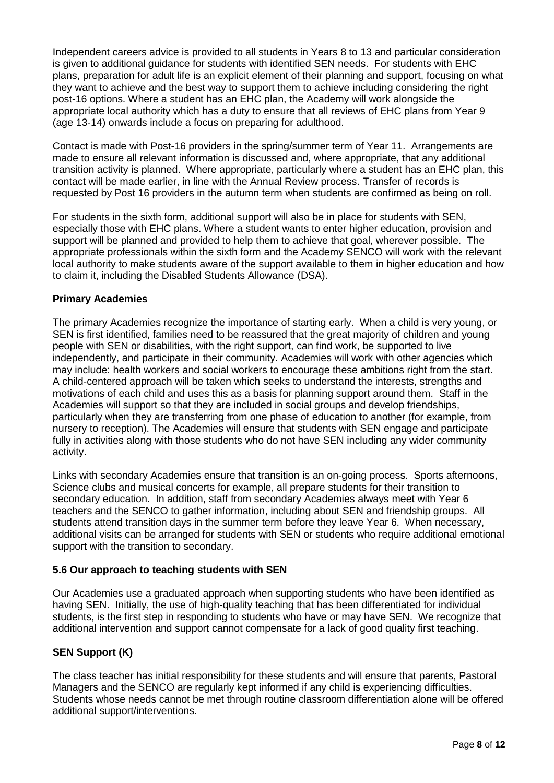Independent careers advice is provided to all students in Years 8 to 13 and particular consideration is given to additional guidance for students with identified SEN needs. For students with EHC plans, preparation for adult life is an explicit element of their planning and support, focusing on what they want to achieve and the best way to support them to achieve including considering the right post-16 options. Where a student has an EHC plan, the Academy will work alongside the appropriate local authority which has a duty to ensure that all reviews of EHC plans from Year 9 (age 13-14) onwards include a focus on preparing for adulthood.

Contact is made with Post-16 providers in the spring/summer term of Year 11. Arrangements are made to ensure all relevant information is discussed and, where appropriate, that any additional transition activity is planned. Where appropriate, particularly where a student has an EHC plan, this contact will be made earlier, in line with the Annual Review process. Transfer of records is requested by Post 16 providers in the autumn term when students are confirmed as being on roll.

For students in the sixth form, additional support will also be in place for students with SEN, especially those with EHC plans. Where a student wants to enter higher education, provision and support will be planned and provided to help them to achieve that goal, wherever possible. The appropriate professionals within the sixth form and the Academy SENCO will work with the relevant local authority to make students aware of the support available to them in higher education and how to claim it, including the Disabled Students Allowance (DSA).

## **Primary Academies**

The primary Academies recognize the importance of starting early. When a child is very young, or SEN is first identified, families need to be reassured that the great majority of children and young people with SEN or disabilities, with the right support, can find work, be supported to live independently, and participate in their community. Academies will work with other agencies which may include: health workers and social workers to encourage these ambitions right from the start. A child-centered approach will be taken which seeks to understand the interests, strengths and motivations of each child and uses this as a basis for planning support around them. Staff in the Academies will support so that they are included in social groups and develop friendships, particularly when they are transferring from one phase of education to another (for example, from nursery to reception). The Academies will ensure that students with SEN engage and participate fully in activities along with those students who do not have SEN including any wider community activity.

Links with secondary Academies ensure that transition is an on-going process. Sports afternoons, Science clubs and musical concerts for example, all prepare students for their transition to secondary education. In addition, staff from secondary Academies always meet with Year 6 teachers and the SENCO to gather information, including about SEN and friendship groups. All students attend transition days in the summer term before they leave Year 6. When necessary, additional visits can be arranged for students with SEN or students who require additional emotional support with the transition to secondary.

## **5.6 Our approach to teaching students with SEN**

Our Academies use a graduated approach when supporting students who have been identified as having SEN. Initially, the use of high-quality teaching that has been differentiated for individual students, is the first step in responding to students who have or may have SEN. We recognize that additional intervention and support cannot compensate for a lack of good quality first teaching.

## **SEN Support (K)**

The class teacher has initial responsibility for these students and will ensure that parents, Pastoral Managers and the SENCO are regularly kept informed if any child is experiencing difficulties. Students whose needs cannot be met through routine classroom differentiation alone will be offered additional support/interventions.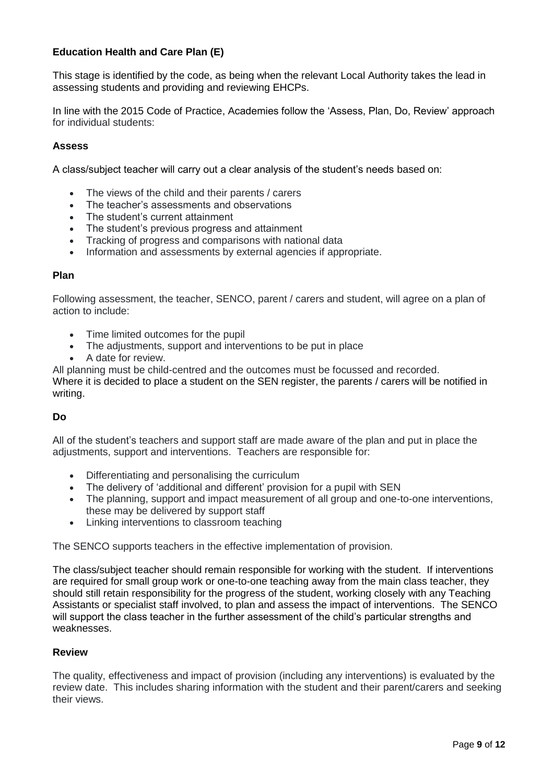## **Education Health and Care Plan (E)**

This stage is identified by the code, as being when the relevant Local Authority takes the lead in assessing students and providing and reviewing EHCPs.

In line with the 2015 Code of Practice, Academies follow the 'Assess, Plan, Do, Review' approach for individual students:

## **Assess**

A class/subject teacher will carry out a clear analysis of the student's needs based on:

- The views of the child and their parents / carers
- The teacher's assessments and observations
- The student's current attainment
- The student's previous progress and attainment
- Tracking of progress and comparisons with national data
- Information and assessments by external agencies if appropriate.

#### **Plan**

Following assessment, the teacher, SENCO, parent / carers and student, will agree on a plan of action to include:

- Time limited outcomes for the pupil
- The adjustments, support and interventions to be put in place
- A date for review.
- All planning must be child-centred and the outcomes must be focussed and recorded.

Where it is decided to place a student on the SEN register, the parents / carers will be notified in writing.

## **Do**

All of the student's teachers and support staff are made aware of the plan and put in place the adjustments, support and interventions. Teachers are responsible for:

- Differentiating and personalising the curriculum
- The delivery of 'additional and different' provision for a pupil with SEN
- The planning, support and impact measurement of all group and one-to-one interventions, these may be delivered by support staff
- Linking interventions to classroom teaching

The SENCO supports teachers in the effective implementation of provision.

The class/subject teacher should remain responsible for working with the student. If interventions are required for small group work or one-to-one teaching away from the main class teacher, they should still retain responsibility for the progress of the student, working closely with any Teaching Assistants or specialist staff involved, to plan and assess the impact of interventions. The SENCO will support the class teacher in the further assessment of the child's particular strengths and weaknesses.

## **Review**

The quality, effectiveness and impact of provision (including any interventions) is evaluated by the review date. This includes sharing information with the student and their parent/carers and seeking their views.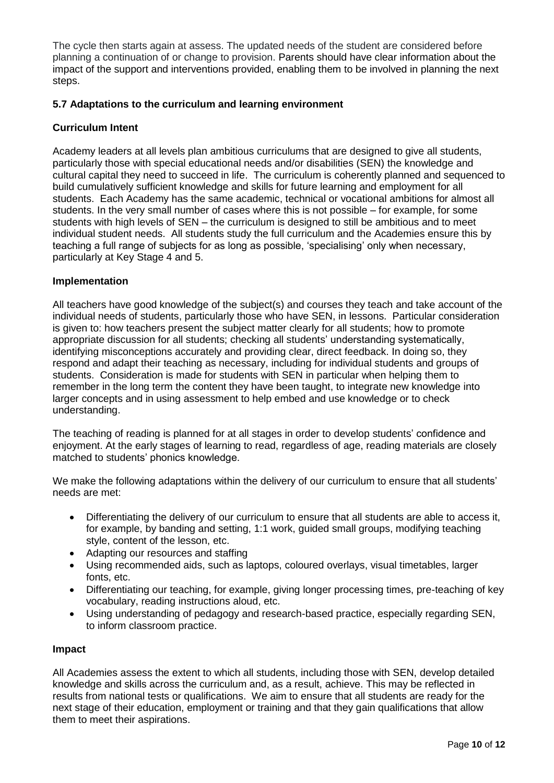The cycle then starts again at assess. The updated needs of the student are considered before planning a continuation of or change to provision. Parents should have clear information about the impact of the support and interventions provided, enabling them to be involved in planning the next steps.

## **5.7 Adaptations to the curriculum and learning environment**

## **Curriculum Intent**

Academy leaders at all levels plan ambitious curriculums that are designed to give all students, particularly those with special educational needs and/or disabilities (SEN) the knowledge and cultural capital they need to succeed in life. The curriculum is coherently planned and sequenced to build cumulatively sufficient knowledge and skills for future learning and employment for all students. Each Academy has the same academic, technical or vocational ambitions for almost all students. In the very small number of cases where this is not possible – for example, for some students with high levels of SEN – the curriculum is designed to still be ambitious and to meet individual student needs. All students study the full curriculum and the Academies ensure this by teaching a full range of subjects for as long as possible, 'specialising' only when necessary, particularly at Key Stage 4 and 5.

## **Implementation**

All teachers have good knowledge of the subject(s) and courses they teach and take account of the individual needs of students, particularly those who have SEN, in lessons. Particular consideration is given to: how teachers present the subject matter clearly for all students; how to promote appropriate discussion for all students; checking all students' understanding systematically, identifying misconceptions accurately and providing clear, direct feedback. In doing so, they respond and adapt their teaching as necessary, including for individual students and groups of students. Consideration is made for students with SEN in particular when helping them to remember in the long term the content they have been taught, to integrate new knowledge into larger concepts and in using assessment to help embed and use knowledge or to check understanding.

The teaching of reading is planned for at all stages in order to develop students' confidence and enjoyment. At the early stages of learning to read, regardless of age, reading materials are closely matched to students' phonics knowledge.

We make the following adaptations within the delivery of our curriculum to ensure that all students' needs are met:

- Differentiating the delivery of our curriculum to ensure that all students are able to access it, for example, by banding and setting, 1:1 work, guided small groups, modifying teaching style, content of the lesson, etc.
- Adapting our resources and staffing
- Using recommended aids, such as laptops, coloured overlays, visual timetables, larger fonts, etc.
- Differentiating our teaching, for example, giving longer processing times, pre-teaching of key vocabulary, reading instructions aloud, etc.
- Using understanding of pedagogy and research-based practice, especially regarding SEN, to inform classroom practice.

#### **Impact**

All Academies assess the extent to which all students, including those with SEN, develop detailed knowledge and skills across the curriculum and, as a result, achieve. This may be reflected in results from national tests or qualifications. We aim to ensure that all students are ready for the next stage of their education, employment or training and that they gain qualifications that allow them to meet their aspirations.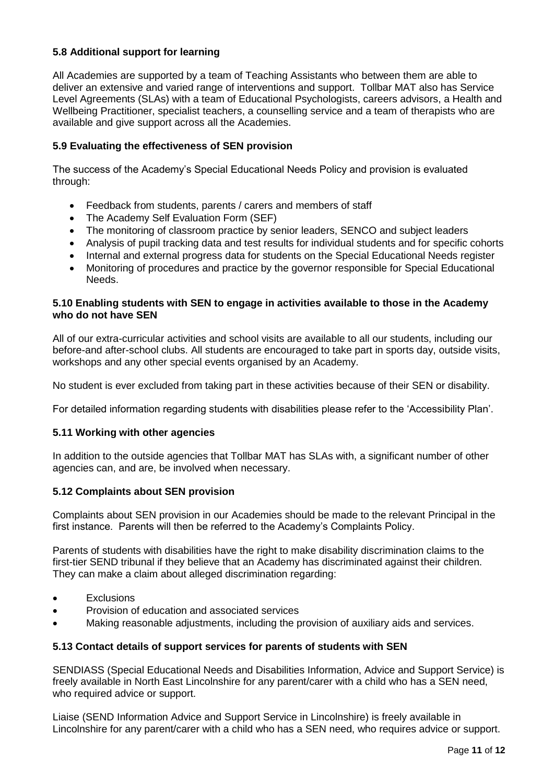## **5.8 Additional support for learning**

All Academies are supported by a team of Teaching Assistants who between them are able to deliver an extensive and varied range of interventions and support. Tollbar MAT also has Service Level Agreements (SLAs) with a team of Educational Psychologists, careers advisors, a Health and Wellbeing Practitioner, specialist teachers, a counselling service and a team of therapists who are available and give support across all the Academies.

## **5.9 Evaluating the effectiveness of SEN provision**

The success of the Academy's Special Educational Needs Policy and provision is evaluated through:

- Feedback from students, parents / carers and members of staff
- The Academy Self Evaluation Form (SEF)
- The monitoring of classroom practice by senior leaders, SENCO and subject leaders
- Analysis of pupil tracking data and test results for individual students and for specific cohorts
- Internal and external progress data for students on the Special Educational Needs register
- Monitoring of procedures and practice by the governor responsible for Special Educational Needs.

## **5.10 Enabling students with SEN to engage in activities available to those in the Academy who do not have SEN**

All of our extra-curricular activities and school visits are available to all our students, including our before-and after-school clubs. All students are encouraged to take part in sports day, outside visits, workshops and any other special events organised by an Academy.

No student is ever excluded from taking part in these activities because of their SEN or disability.

For detailed information regarding students with disabilities please refer to the 'Accessibility Plan'.

## **5.11 Working with other agencies**

In addition to the outside agencies that Tollbar MAT has SLAs with, a significant number of other agencies can, and are, be involved when necessary.

## **5.12 Complaints about SEN provision**

Complaints about SEN provision in our Academies should be made to the relevant Principal in the first instance. Parents will then be referred to the Academy's Complaints Policy.

Parents of students with disabilities have the right to make disability discrimination claims to the first-tier SEND tribunal if they believe that an Academy has discriminated against their children. They can make a claim about alleged discrimination regarding:

- **Fxclusions**
- Provision of education and associated services
- Making reasonable adjustments, including the provision of auxiliary aids and services.

## **5.13 Contact details of support services for parents of students with SEN**

SENDIASS (Special Educational Needs and Disabilities Information, Advice and Support Service) is freely available in North East Lincolnshire for any parent/carer with a child who has a SEN need, who required advice or support.

Liaise (SEND Information Advice and Support Service in Lincolnshire) is freely available in Lincolnshire for any parent/carer with a child who has a SEN need, who requires advice or support.